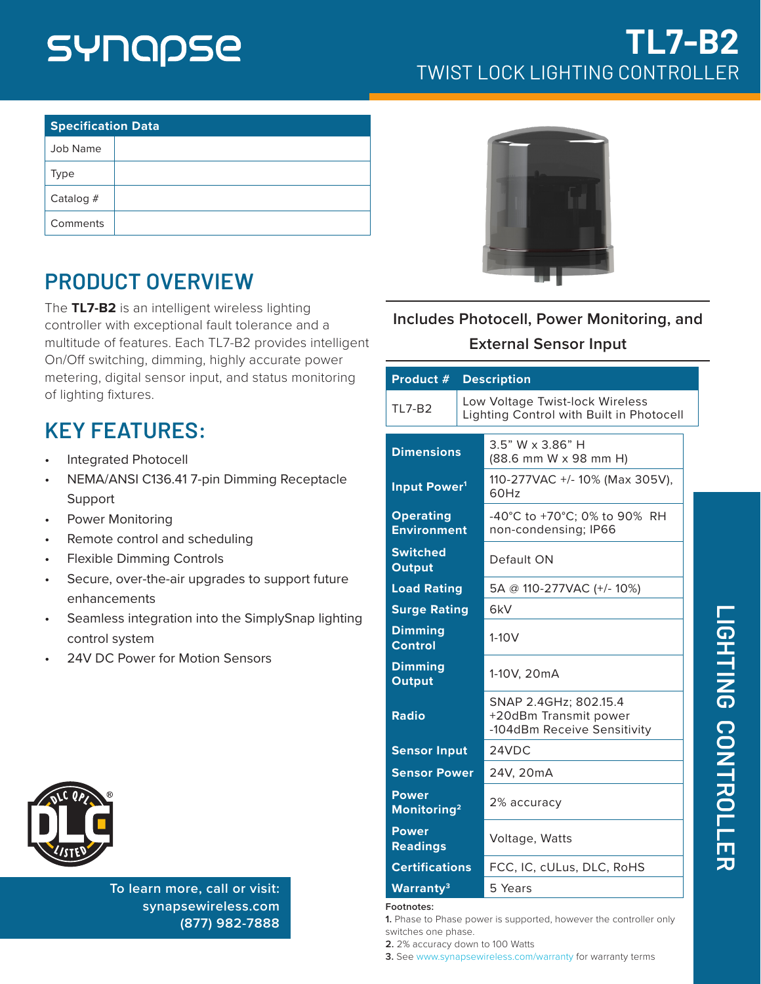# SYNQQSE

| <b>Specification Data</b> |  |  |
|---------------------------|--|--|
| Job Name                  |  |  |
| <b>Type</b>               |  |  |
| Catalog $#$               |  |  |
| Comments                  |  |  |

# **PRODUCT OVERVIEW**

The **TL7-B2** is an intelligent wireless lighting controller with exceptional fault tolerance and a multitude of features. Each TL7-B2 provides intelligent On/Off switching, dimming, highly accurate power metering, digital sensor input, and status monitoring of lighting fixtures.

# **KEY FEATURES:**

- Integrated Photocell
- NEMA/ANSI C136.41 7-pin Dimming Receptacle Support
- Power Monitoring
- Remote control and scheduling
- Flexible Dimming Controls
- Secure, over-the-air upgrades to support future enhancements
- Seamless integration into the SimplySnap lighting control system
- 24V DC Power for Motion Sensors



**To learn more, call or visit: [synapsewireless.com](http://www.synapse-wireless.com) (877) 982-7888**



### **Includes Photocell, Power Monitoring, and External Sensor Input**

| Product #                               |  | <b>Description</b>                                                            |
|-----------------------------------------|--|-------------------------------------------------------------------------------|
| <b>TL7-B2</b>                           |  | Low Voltage Twist-lock Wireless<br>Lighting Control with Built in Photocell   |
| <b>Dimensions</b>                       |  | 3.5" W x 3.86" H<br>(88.6 mm W x 98 mm H)                                     |
| Input Power <sup>1</sup>                |  | 110-277VAC +/- 10% (Max 305V),<br>60Hz                                        |
| <b>Operating</b><br><b>Environment</b>  |  | -40°C to +70°C; 0% to 90% RH<br>non-condensing; IP66                          |
| <b>Switched</b><br><b>Output</b>        |  | Default ON                                                                    |
| <b>Load Rating</b>                      |  | 5A @ 110-277VAC (+/- 10%)                                                     |
| <b>Surge Rating</b>                     |  | 6kV                                                                           |
| <b>Dimming</b><br><b>Control</b>        |  | $1-10V$                                                                       |
| <b>Dimming</b><br><b>Output</b>         |  | 1-10V, 20mA                                                                   |
| <b>Radio</b>                            |  | SNAP 2.4GHz; 802.15.4<br>+20dBm Transmit power<br>-104dBm Receive Sensitivity |
| <b>Sensor Input</b>                     |  | 24VDC                                                                         |
| <b>Sensor Power</b>                     |  | 24V, 20mA                                                                     |
| <b>Power</b><br>Monitoring <sup>2</sup> |  | 2% accuracy                                                                   |
| <b>Power</b><br><b>Readings</b>         |  | Voltage, Watts                                                                |
| <b>Certifications</b>                   |  | FCC, IC, cULus, DLC, RoHS                                                     |
| Warranty <sup>3</sup>                   |  | 5 Years                                                                       |

#### **Footnotes:**

**1.** Phase to Phase power is supported, however the controller only switches one phase.

**2.** 2% accuracy down to 100 Watts

**3.** See www.synapsewireless.com/warranty for warranty terms